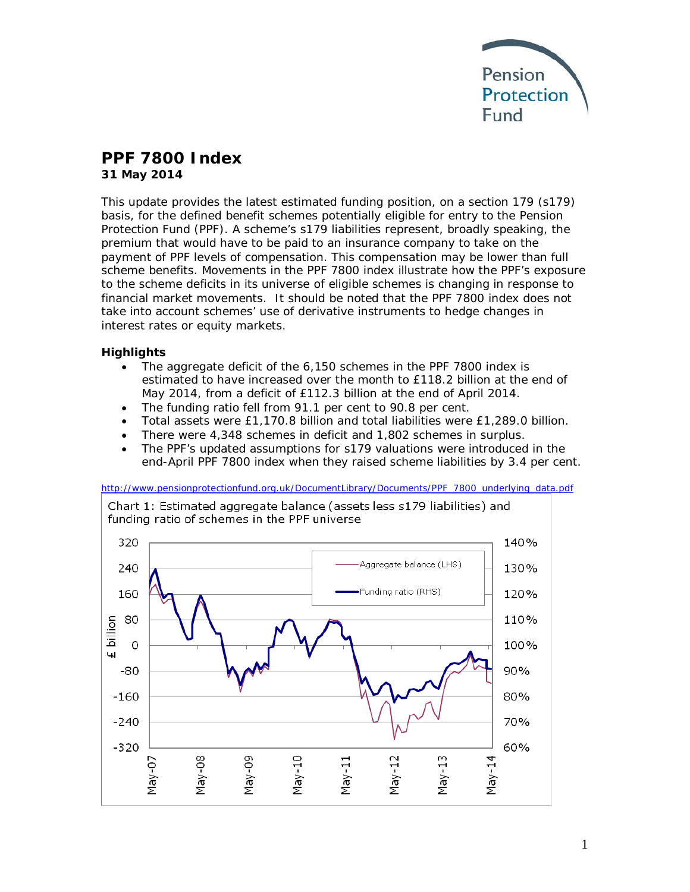

# **PPF 7800 Index**

**31 May 2014**

This update provides the latest estimated funding position, on a section 179 (s179) basis, for the defined benefit schemes potentially eligible for entry to the Pension Protection Fund (PPF). A scheme's s179 liabilities represent, broadly speaking, the premium that would have to be paid to an insurance company to take on the payment of PPF levels of compensation. This compensation may be lower than full scheme benefits. Movements in the PPF 7800 index illustrate how the PPF's exposure to the scheme deficits in its universe of eligible schemes is changing in response to financial market movements. It should be noted that the PPF 7800 index does not take into account schemes' use of derivative instruments to hedge changes in interest rates or equity markets.

# **Highlights**

- The aggregate deficit of the 6,150 schemes in the PPF 7800 index is estimated to have increased over the month to £118.2 billion at the end of May 2014, from a deficit of £112.3 billion at the end of April 2014.
- The funding ratio fell from 91.1 per cent to 90.8 per cent.
- Total assets were £1,170.8 billion and total liabilities were £1,289.0 billion.
- There were 4,348 schemes in deficit and 1,802 schemes in surplus.
- The PPF's updated assumptions for s179 valuations were introduced in the end-April PPF 7800 index when they raised scheme liabilities by 3.4 per cent.

[http://www.pensionprotectionfund.org.uk/DocumentLibrary/Documents/PPF\\_7800\\_underlying\\_data.pdf](http://www.pensionprotectionfund.org.uk/DocumentLibrary/Documents/PPF_7800_underlying_data.pdf)

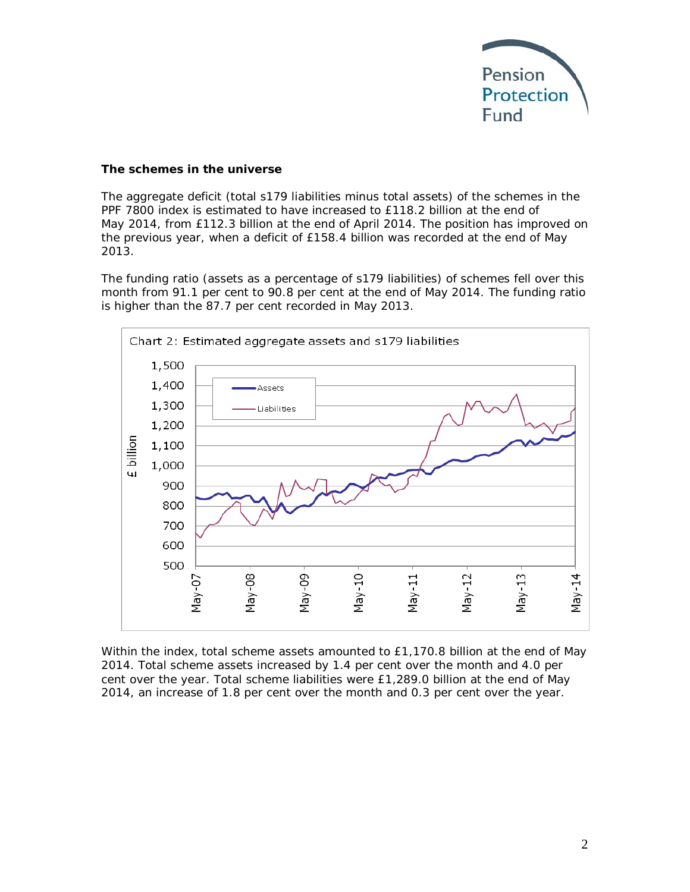

#### **The schemes in the universe**

The aggregate deficit (total s179 liabilities minus total assets) of the schemes in the PPF 7800 index is estimated to have increased to £118.2 billion at the end of May 2014, from £112.3 billion at the end of April 2014. The position has improved on the previous year, when a deficit of £158.4 billion was recorded at the end of May 2013.

The funding ratio (assets as a percentage of s179 liabilities) of schemes fell over this month from 91.1 per cent to 90.8 per cent at the end of May 2014. The funding ratio is higher than the 87.7 per cent recorded in May 2013.



Within the index, total scheme assets amounted to £1,170.8 billion at the end of May 2014. Total scheme assets increased by 1.4 per cent over the month and 4.0 per cent over the year. Total scheme liabilities were £1,289.0 billion at the end of May 2014, an increase of 1.8 per cent over the month and 0.3 per cent over the year.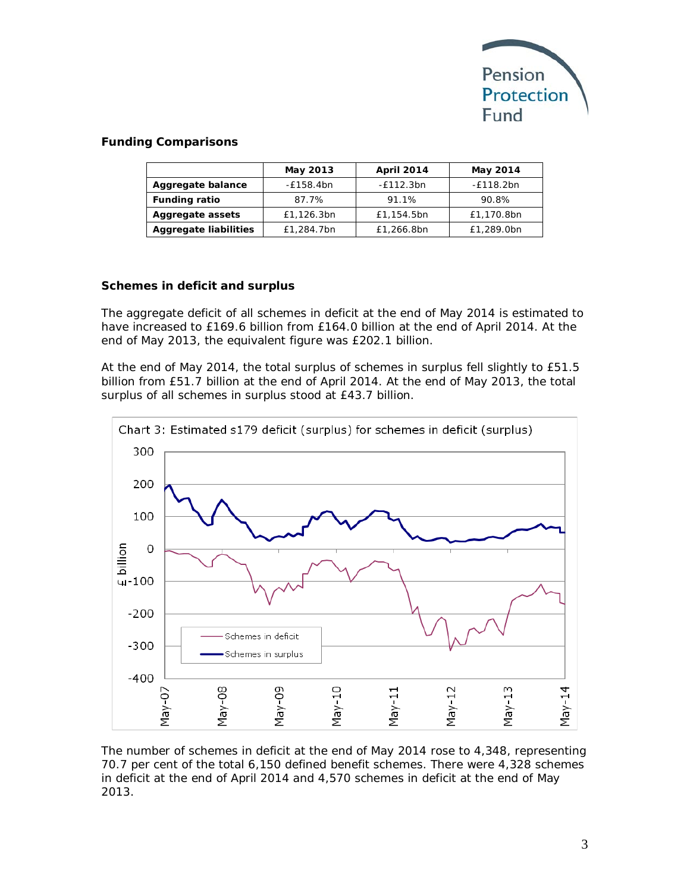

# **Funding Comparisons**

|                              | May 2013   | <b>April 2014</b> | May 2014    |
|------------------------------|------------|-------------------|-------------|
| Aggregate balance            | -£158.4bn  | $-E112.3bn$       | $-£118.2bn$ |
| <b>Funding ratio</b>         | 87.7%      | 91.1%             | 90.8%       |
| Aggregate assets             | £1,126.3bn | £1,154.5bn        | £1,170.8bn  |
| <b>Aggregate liabilities</b> | £1,284.7bn | £1,266.8bn        | £1,289.0bn  |

# **Schemes in deficit and surplus**

The aggregate deficit of all schemes in deficit at the end of May 2014 is estimated to have increased to £169.6 billion from £164.0 billion at the end of April 2014. At the end of May 2013, the equivalent figure was £202.1 billion.

At the end of May 2014, the total surplus of schemes in surplus fell slightly to £51.5 billion from £51.7 billion at the end of April 2014. At the end of May 2013, the total surplus of all schemes in surplus stood at £43.7 billion.



The number of schemes in deficit at the end of May 2014 rose to 4,348, representing 70.7 per cent of the total 6,150 defined benefit schemes. There were 4,328 schemes in deficit at the end of April 2014 and 4,570 schemes in deficit at the end of May 2013.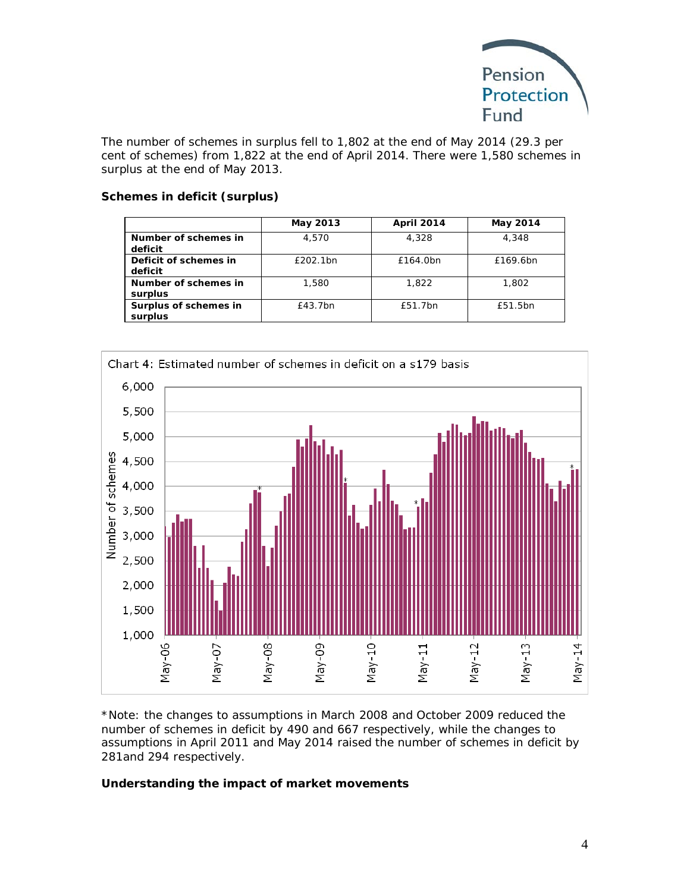

The number of schemes in surplus fell to 1,802 at the end of May 2014 (29.3 per cent of schemes) from 1,822 at the end of April 2014. There were 1,580 schemes in surplus at the end of May 2013.

#### **Schemes in deficit (surplus)**

|                                  | May 2013 | <b>April 2014</b> | May 2014 |
|----------------------------------|----------|-------------------|----------|
| Number of schemes in<br>deficit  | 4.570    | 4,328             | 4,348    |
| Deficit of schemes in<br>deficit | £202.1bn | £164.0bn          | £169.6bn |
| Number of schemes in<br>surplus  | 1,580    | 1.822             | 1,802    |
| Surplus of schemes in<br>surplus | £43.7bn  | £51.7bn           | £51.5bn  |



*\*Note: the changes to assumptions in March 2008 and October 2009 reduced the number of schemes in deficit by 490 and 667 respectively, while the changes to assumptions in April 2011 and May 2014 raised the number of schemes in deficit by 281and 294 respectively.*

#### **Understanding the impact of market movements**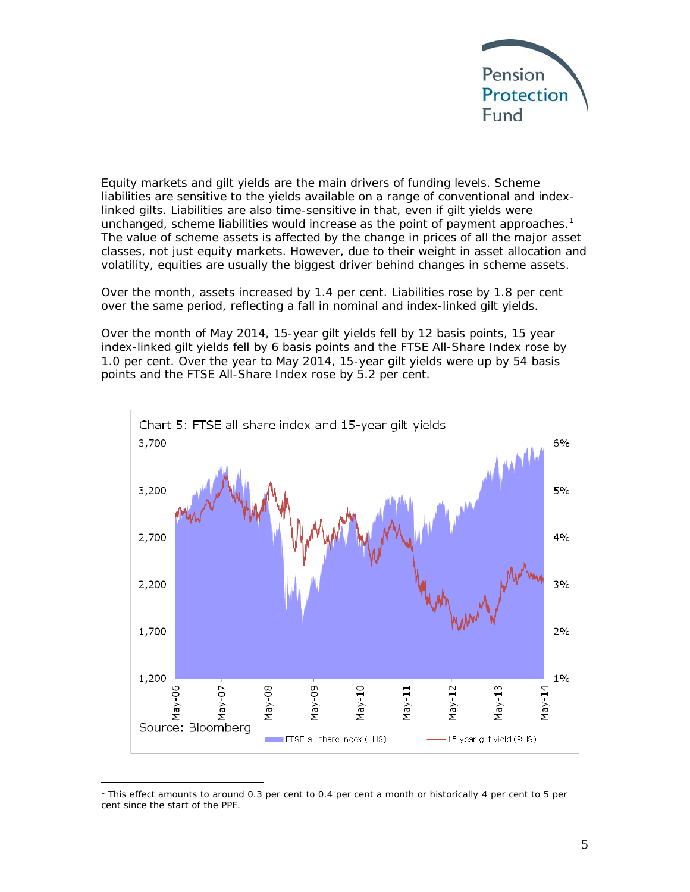

Equity markets and gilt yields are the main drivers of funding levels. Scheme liabilities are sensitive to the yields available on a range of conventional and indexlinked gilts. Liabilities are also time-sensitive in that, even if gilt yields were unchanged, scheme liabilities would increase as the point of payment approaches.<sup>[1](#page-4-0)</sup> The value of scheme assets is affected by the change in prices of all the major asset classes, not just equity markets. However, due to their weight in asset allocation and volatility, equities are usually the biggest driver behind changes in scheme assets.

Over the month, assets increased by 1.4 per cent. Liabilities rose by 1.8 per cent over the same period, reflecting a fall in nominal and index-linked gilt yields.

Over the month of May 2014, 15-year gilt yields fell by 12 basis points, 15 year index-linked gilt yields fell by 6 basis points and the FTSE All-Share Index rose by 1.0 per cent. Over the year to May 2014, 15-year gilt yields were up by 54 basis points and the FTSE All-Share Index rose by 5.2 per cent.



<span id="page-4-0"></span> $\overline{a}$ <sup>1</sup> This effect amounts to around 0.3 per cent to 0.4 per cent a month or historically 4 per cent to 5 per cent since the start of the PPF.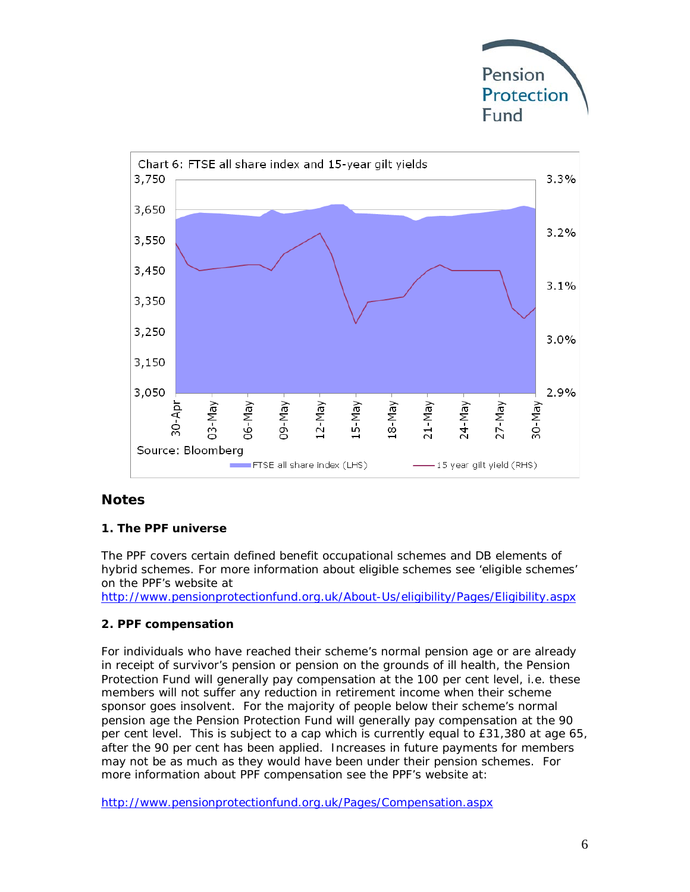



# **Notes**

#### **1. The PPF universe**

The PPF covers certain defined benefit occupational schemes and DB elements of hybrid schemes. For more information about eligible schemes see 'eligible schemes' on the PPF's website at

<http://www.pensionprotectionfund.org.uk/About-Us/eligibility/Pages/Eligibility.aspx>

#### **2. PPF compensation**

For individuals who have reached their scheme's normal pension age or are already in receipt of survivor's pension or pension on the grounds of ill health, the Pension Protection Fund will generally pay compensation at the 100 per cent level, i.e. these members will not suffer any reduction in retirement income when their scheme sponsor goes insolvent. For the majority of people below their scheme's normal pension age the Pension Protection Fund will generally pay compensation at the 90 per cent level. This is subject to a cap which is currently equal to £31,380 at age 65, after the 90 per cent has been applied. Increases in future payments for members may not be as much as they would have been under their pension schemes. For more information about PPF compensation see the PPF's website at:

<http://www.pensionprotectionfund.org.uk/Pages/Compensation.aspx>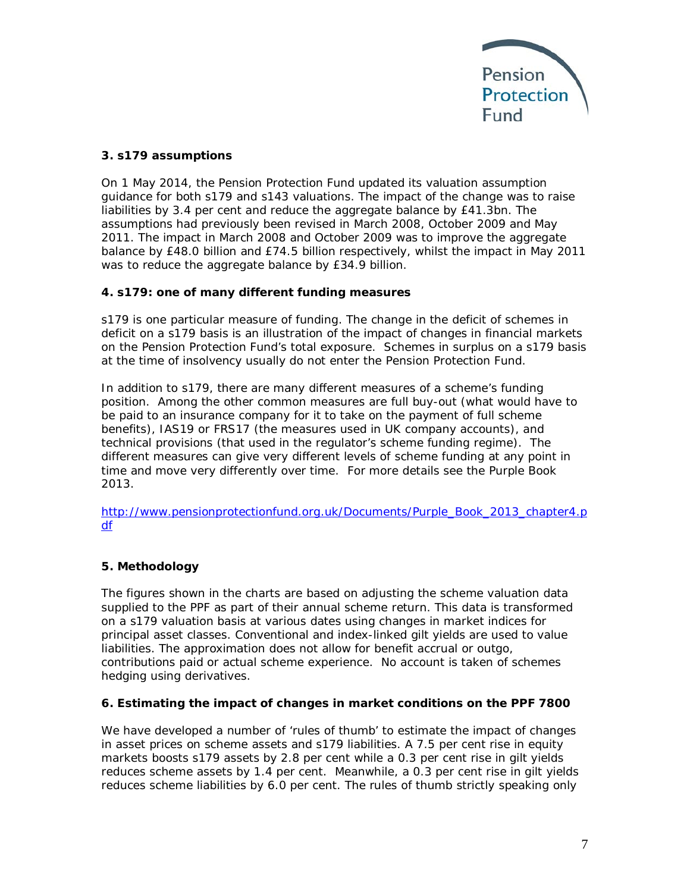

# **3. s179 assumptions**

On 1 May 2014, the Pension Protection Fund updated its valuation assumption guidance for both s179 and s143 valuations. The impact of the change was to raise liabilities by 3.4 per cent and reduce the aggregate balance by £41.3bn. The assumptions had previously been revised in March 2008, October 2009 and May 2011. The impact in March 2008 and October 2009 was to improve the aggregate balance by £48.0 billion and £74.5 billion respectively, whilst the impact in May 2011 was to reduce the aggregate balance by £34.9 billion.

# **4. s179: one of many different funding measures**

s179 is one particular measure of funding. The change in the deficit of schemes in deficit on a s179 basis is an illustration of the impact of changes in financial markets on the Pension Protection Fund's total exposure. Schemes in surplus on a s179 basis at the time of insolvency usually do not enter the Pension Protection Fund.

In addition to s179, there are many different measures of a scheme's funding position. Among the other common measures are full buy-out (what would have to be paid to an insurance company for it to take on the payment of full scheme benefits), IAS19 or FRS17 (the measures used in UK company accounts), and technical provisions (that used in the regulator's scheme funding regime). The different measures can give very different levels of scheme funding at any point in time and move very differently over time. For more details see the Purple Book 2013.

[http://www.pensionprotectionfund.org.uk/Documents/Purple\\_Book\\_2013\\_chapter4.p](http://www.pensionprotectionfund.org.uk/Documents/Purple_Book_2013_chapter4.pdf) [df](http://www.pensionprotectionfund.org.uk/Documents/Purple_Book_2013_chapter4.pdf)

# **5. Methodology**

The figures shown in the charts are based on adjusting the scheme valuation data supplied to the PPF as part of their annual scheme return. This data is transformed on a s179 valuation basis at various dates using changes in market indices for principal asset classes. Conventional and index-linked gilt yields are used to value liabilities. The approximation does not allow for benefit accrual or outgo, contributions paid or actual scheme experience. No account is taken of schemes hedging using derivatives.

#### **6. Estimating the impact of changes in market conditions on the PPF 7800**

We have developed a number of 'rules of thumb' to estimate the impact of changes in asset prices on scheme assets and s179 liabilities. A 7.5 per cent rise in equity markets boosts s179 assets by 2.8 per cent while a 0.3 per cent rise in gilt yields reduces scheme assets by 1.4 per cent. Meanwhile, a 0.3 per cent rise in gilt yields reduces scheme liabilities by 6.0 per cent. The rules of thumb strictly speaking only